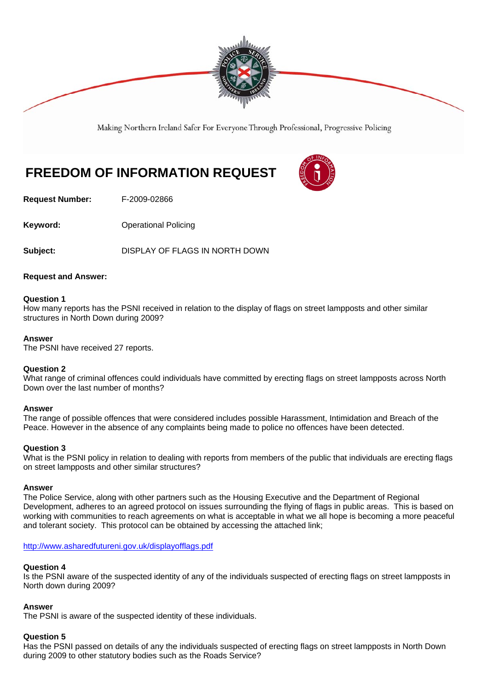

Making Northern Ireland Safer For Everyone Through Professional, Progressive Policing

# **FREEDOM OF INFORMATION REQUEST**



**Request Number:** F-2009-02866

**Keyword: Conservery Operational Policing** 

**Subject:** DISPLAY OF FLAGS IN NORTH DOWN

# **Request and Answer:**

## **Question 1**

How many reports has the PSNI received in relation to the display of flags on street lampposts and other similar structures in North Down during 2009?

## **Answer**

The PSNI have received 27 reports.

# **Question 2**

What range of criminal offences could individuals have committed by erecting flags on street lampposts across North Down over the last number of months?

#### **Answer**

The range of possible offences that were considered includes possible Harassment, Intimidation and Breach of the Peace. However in the absence of any complaints being made to police no offences have been detected.

# **Question 3**

What is the PSNI policy in relation to dealing with reports from members of the public that individuals are erecting flags on street lampposts and other similar structures?

#### **Answer**

The Police Service, along with other partners such as the Housing Executive and the Department of Regional Development, adheres to an agreed protocol on issues surrounding the flying of flags in public areas. This is based on working with communities to reach agreements on what is acceptable in what we all hope is becoming a more peaceful and tolerant society. This protocol can be obtained by accessing the attached link;

#### http://www.asharedfutureni.gov.uk/displayofflags.pdf

# **Question 4**

Is the PSNI aware of the suspected identity of any of the individuals suspected of erecting flags on street lampposts in North down during 2009?

#### **Answer**

The PSNI is aware of the suspected identity of these individuals.

#### **Question 5**

Has the PSNI passed on details of any the individuals suspected of erecting flags on street lampposts in North Down during 2009 to other statutory bodies such as the Roads Service?